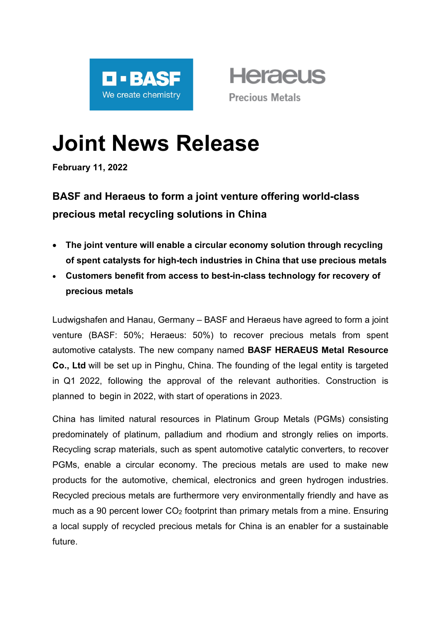

**Heraeus Precious Metals** 

# **Joint News Release**

**February 11, 2022**

# **BASF and Heraeus to form a joint venture offering world-class precious metal recycling solutions in China**

- **The joint venture will enable a circular economy solution through recycling of spent catalysts for high-tech industries in China that use precious metals**
- **Customers benefit from access to best-in-class technology for recovery of precious metals**

Ludwigshafen and Hanau, Germany – BASF and Heraeus have agreed to form a joint venture (BASF: 50%; Heraeus: 50%) to recover precious metals from spent automotive catalysts. The new company named **BASF HERAEUS Metal Resource Co., Ltd** will be set up in Pinghu, China. The founding of the legal entity is targeted in Q1 2022, following the approval of the relevant authorities. Construction is planned to begin in 2022, with start of operations in 2023.

China has limited natural resources in Platinum Group Metals (PGMs) consisting predominately of platinum, palladium and rhodium and strongly relies on imports. Recycling scrap materials, such as spent automotive catalytic converters, to recover PGMs, enable a circular economy. The precious metals are used to make new products for the automotive, chemical, electronics and green hydrogen industries. Recycled precious metals are furthermore very environmentally friendly and have as much as a 90 percent lower  $CO<sub>2</sub>$  footprint than primary metals from a mine. Ensuring a local supply of recycled precious metals for China is an enabler for a sustainable future.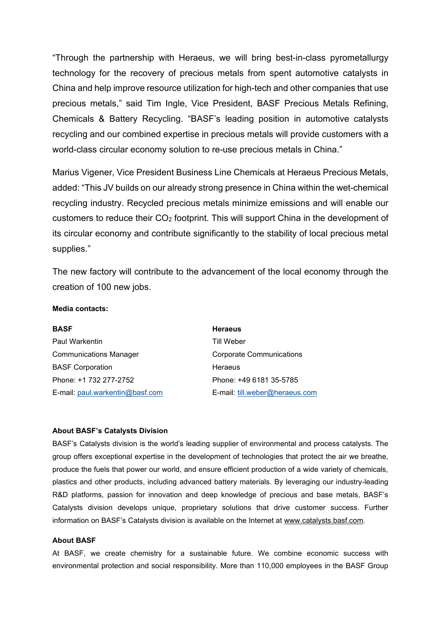"Through the partnership with Heraeus, we will bring best-in-class pyrometallurgy technology for the recovery of precious metals from spent automotive catalysts in China and help improve resource utilization for high-tech and other companies that use precious metals," said Tim Ingle, Vice President, BASF Precious Metals Refining, Chemicals & Battery Recycling. "BASF's leading position in automotive catalysts recycling and our combined expertise in precious metals will provide customers with a world-class circular economy solution to re-use precious metals in China."

Marius Vigener, Vice President Business Line Chemicals at Heraeus Precious Metals, added: "This JV builds on our already strong presence in China within the wet-chemical recycling industry. Recycled precious metals minimize emissions and will enable our customers to reduce their CO2 footprint. This will support China in the development of its circular economy and contribute significantly to the stability of local precious metal supplies."

The new factory will contribute to the advancement of the local economy through the creation of 100 new jobs.

## **Media contacts:**

| <b>BASF</b>                     | <b>Heraeus</b>                  |
|---------------------------------|---------------------------------|
| <b>Paul Warkentin</b>           | <b>Till Weber</b>               |
| <b>Communications Manager</b>   | <b>Corporate Communications</b> |
| <b>BASF Corporation</b>         | Heraeus                         |
| Phone: +1 732 277-2752          | Phone: +49 6181 35-5785         |
| E-mail: paul.warkentin@basf.com | E-mail: till.weber@heraeus.com  |

#### **About BASF's Catalysts Division**

BASF's Catalysts division is the world's leading supplier of environmental and process catalysts. The group offers exceptional expertise in the development of technologies that protect the air we breathe, produce the fuels that power our world, and ensure efficient production of a wide variety of chemicals, plastics and other products, including advanced battery materials. By leveraging our industry-leading R&D platforms, passion for innovation and deep knowledge of precious and base metals, BASF's Catalysts division develops unique, proprietary solutions that drive customer success. Further information on BASF's Catalysts division is available on the Internet at [www.catalysts.basf.com.](http://www.catalysts.basf.com/)

## **About BASF**

At BASF, we create chemistry for a sustainable future. We combine economic success with environmental protection and social responsibility. More than 110,000 employees in the BASF Group